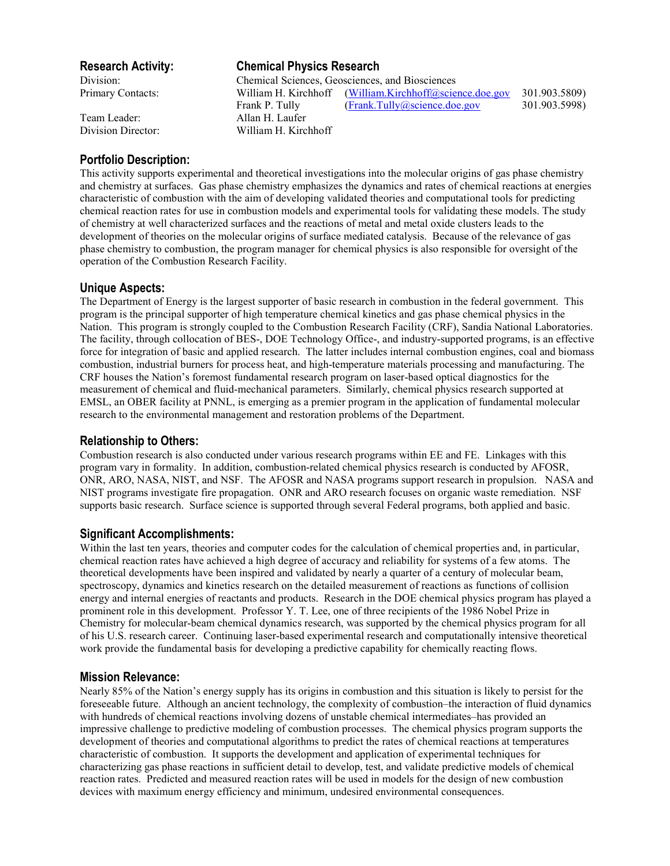Team Leader: Allan H. Laufer

# **Research Activity: Chemical Physics Research**

Division: Chemical Sciences, Geosciences, and Biosciences Primary Contacts: William H. Kirchhoff (William.Kirchhoff@science.doe.gov 301.903.5809) Frank P. Tully (Frank.Tully@science.doe.gov 301.903.5998) Division Director: William H. Kirchhoff

# **Portfolio Description:**

This activity supports experimental and theoretical investigations into the molecular origins of gas phase chemistry and chemistry at surfaces. Gas phase chemistry emphasizes the dynamics and rates of chemical reactions at energies characteristic of combustion with the aim of developing validated theories and computational tools for predicting chemical reaction rates for use in combustion models and experimental tools for validating these models. The study of chemistry at well characterized surfaces and the reactions of metal and metal oxide clusters leads to the development of theories on the molecular origins of surface mediated catalysis. Because of the relevance of gas phase chemistry to combustion, the program manager for chemical physics is also responsible for oversight of the operation of the Combustion Research Facility.

## **Unique Aspects:**

The Department of Energy is the largest supporter of basic research in combustion in the federal government. This program is the principal supporter of high temperature chemical kinetics and gas phase chemical physics in the Nation. This program is strongly coupled to the Combustion Research Facility (CRF), Sandia National Laboratories. The facility, through collocation of BES-, DOE Technology Office-, and industry-supported programs, is an effective force for integration of basic and applied research. The latter includes internal combustion engines, coal and biomass combustion, industrial burners for process heat, and high-temperature materials processing and manufacturing. The CRF houses the Nation's foremost fundamental research program on laser-based optical diagnostics for the measurement of chemical and fluid-mechanical parameters. Similarly, chemical physics research supported at EMSL, an OBER facility at PNNL, is emerging as a premier program in the application of fundamental molecular research to the environmental management and restoration problems of the Department.

## **Relationship to Others:**

Combustion research is also conducted under various research programs within EE and FE. Linkages with this program vary in formality. In addition, combustion-related chemical physics research is conducted by AFOSR, ONR, ARO, NASA, NIST, and NSF. The AFOSR and NASA programs support research in propulsion. NASA and NIST programs investigate fire propagation. ONR and ARO research focuses on organic waste remediation. NSF supports basic research. Surface science is supported through several Federal programs, both applied and basic.

## **Significant Accomplishments:**

Within the last ten years, theories and computer codes for the calculation of chemical properties and, in particular, chemical reaction rates have achieved a high degree of accuracy and reliability for systems of a few atoms. The theoretical developments have been inspired and validated by nearly a quarter of a century of molecular beam, spectroscopy, dynamics and kinetics research on the detailed measurement of reactions as functions of collision energy and internal energies of reactants and products. Research in the DOE chemical physics program has played a prominent role in this development. Professor Y. T. Lee, one of three recipients of the 1986 Nobel Prize in Chemistry for molecular-beam chemical dynamics research, was supported by the chemical physics program for all of his U.S. research career. Continuing laser-based experimental research and computationally intensive theoretical work provide the fundamental basis for developing a predictive capability for chemically reacting flows.

## **Mission Relevance:**

Nearly 85% of the Nation's energy supply has its origins in combustion and this situation is likely to persist for the foreseeable future. Although an ancient technology, the complexity of combustion–the interaction of fluid dynamics with hundreds of chemical reactions involving dozens of unstable chemical intermediates–has provided an impressive challenge to predictive modeling of combustion processes. The chemical physics program supports the development of theories and computational algorithms to predict the rates of chemical reactions at temperatures characteristic of combustion. It supports the development and application of experimental techniques for characterizing gas phase reactions in sufficient detail to develop, test, and validate predictive models of chemical reaction rates. Predicted and measured reaction rates will be used in models for the design of new combustion devices with maximum energy efficiency and minimum, undesired environmental consequences.